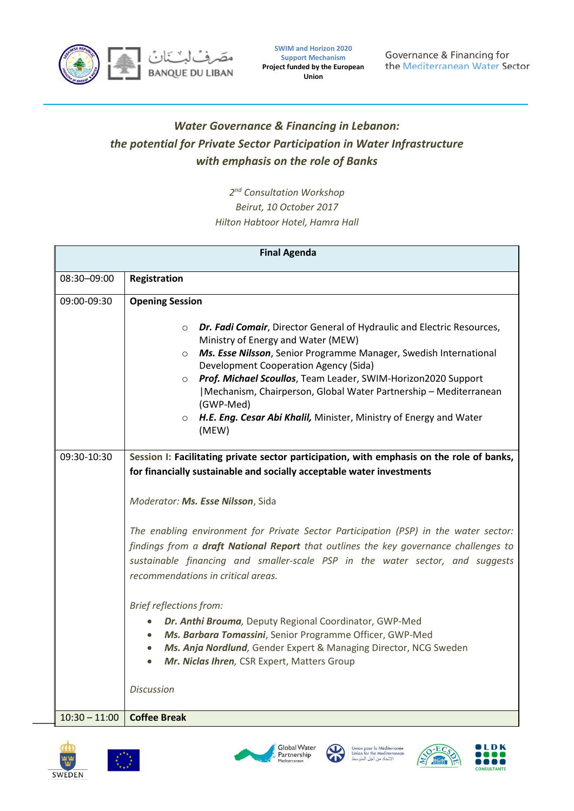

**SWIM and Horizon 2020 Support Mechanism Project funded by the European Union**

Governance & Financing for the Mediterranean Water Sector

## *Water Governance & Financing in Lebanon: the potential for Private Sector Participation in Water Infrastructure with emphasis on the role of Banks*

*2 nd Consultation Workshop Beirut, 10 October 2017 Hilton Habtoor Hotel, Hamra Hall*

| <b>Final Agenda</b> |                                                                                                                                                                                                                                                                                                                                                                                                                                                                                                                                                                                                                                                                                                                                                                                                                                                                                                                                                                                                                                                                                                                                                                                                                                                                                                                                                      |  |
|---------------------|------------------------------------------------------------------------------------------------------------------------------------------------------------------------------------------------------------------------------------------------------------------------------------------------------------------------------------------------------------------------------------------------------------------------------------------------------------------------------------------------------------------------------------------------------------------------------------------------------------------------------------------------------------------------------------------------------------------------------------------------------------------------------------------------------------------------------------------------------------------------------------------------------------------------------------------------------------------------------------------------------------------------------------------------------------------------------------------------------------------------------------------------------------------------------------------------------------------------------------------------------------------------------------------------------------------------------------------------------|--|
| 08:30-09:00         | Registration                                                                                                                                                                                                                                                                                                                                                                                                                                                                                                                                                                                                                                                                                                                                                                                                                                                                                                                                                                                                                                                                                                                                                                                                                                                                                                                                         |  |
| 09:00-09:30         | <b>Opening Session</b>                                                                                                                                                                                                                                                                                                                                                                                                                                                                                                                                                                                                                                                                                                                                                                                                                                                                                                                                                                                                                                                                                                                                                                                                                                                                                                                               |  |
| 09:30-10:30         | Dr. Fadi Comair, Director General of Hydraulic and Electric Resources,<br>$\circ$<br>Ministry of Energy and Water (MEW)<br>Ms. Esse Nilsson, Senior Programme Manager, Swedish International<br>$\circ$<br>Development Cooperation Agency (Sida)<br>Prof. Michael Scoullos, Team Leader, SWIM-Horizon2020 Support<br>$\circ$<br> Mechanism, Chairperson, Global Water Partnership - Mediterranean<br>(GWP-Med)<br>H.E. Eng. Cesar Abi Khalil, Minister, Ministry of Energy and Water<br>$\circ$<br>(MEW)<br>Session I: Facilitating private sector participation, with emphasis on the role of banks,<br>for financially sustainable and socially acceptable water investments<br>Moderator: Ms. Esse Nilsson, Sida<br>The enabling environment for Private Sector Participation (PSP) in the water sector:<br>findings from a draft National Report that outlines the key governance challenges to<br>sustainable financing and smaller-scale PSP in the water sector, and suggests<br>recommendations in critical areas.<br><b>Brief reflections from:</b><br>Dr. Anthi Brouma, Deputy Regional Coordinator, GWP-Med<br>Ms. Barbara Tomassini, Senior Programme Officer, GWP-Med<br>$\bullet$<br>Ms. Anja Nordlund, Gender Expert & Managing Director, NCG Sweden<br>$\bullet$<br>Mr. Niclas Ihren, CSR Expert, Matters Group<br><b>Discussion</b> |  |
| $10:30 - 11:00$     | <b>Coffee Break</b>                                                                                                                                                                                                                                                                                                                                                                                                                                                                                                                                                                                                                                                                                                                                                                                                                                                                                                                                                                                                                                                                                                                                                                                                                                                                                                                                  |  |